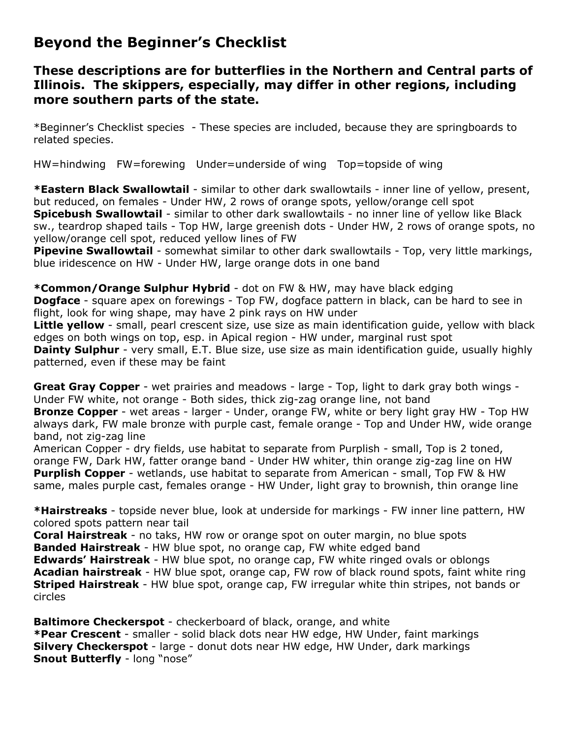## **Beyond the Beginner's Checklist**

## **These descriptions are for butterflies in the Northern and Central parts of Illinois. The skippers, especially, may differ in other regions, including more southern parts of the state.**

\*Beginner's Checklist species - These species are included, because they are springboards to related species.

HW=hindwing FW=forewing Under=underside of wing Top=topside of wing

**\*Eastern Black Swallowtail** - similar to other dark swallowtails - inner line of yellow, present, but reduced, on females - Under HW, 2 rows of orange spots, yellow/orange cell spot **Spicebush Swallowtail** - similar to other dark swallowtails - no inner line of yellow like Black sw., teardrop shaped tails - Top HW, large greenish dots - Under HW, 2 rows of orange spots, no yellow/orange cell spot, reduced yellow lines of FW

**Pipevine Swallowtail** - somewhat similar to other dark swallowtails - Top, very little markings, blue iridescence on HW - Under HW, large orange dots in one band

**\*Common/Orange Sulphur Hybrid** - dot on FW & HW, may have black edging

**Dogface** - square apex on forewings - Top FW, dogface pattern in black, can be hard to see in flight, look for wing shape, may have 2 pink rays on HW under

**Little yellow** - small, pearl crescent size, use size as main identification guide, yellow with black edges on both wings on top, esp. in Apical region - HW under, marginal rust spot

**Dainty Sulphur** - very small, E.T. Blue size, use size as main identification quide, usually highly patterned, even if these may be faint

**Great Gray Copper** - wet prairies and meadows - large - Top, light to dark gray both wings - Under FW white, not orange - Both sides, thick zig-zag orange line, not band

**Bronze Copper** - wet areas - larger - Under, orange FW, white or bery light gray HW - Top HW always dark, FW male bronze with purple cast, female orange - Top and Under HW, wide orange band, not zig-zag line

American Copper - dry fields, use habitat to separate from Purplish - small, Top is 2 toned, orange FW, Dark HW, fatter orange band - Under HW whiter, thin orange zig-zag line on HW **Purplish Copper** - wetlands, use habitat to separate from American - small, Top FW & HW same, males purple cast, females orange - HW Under, light gray to brownish, thin orange line

**\*Hairstreaks** - topside never blue, look at underside for markings - FW inner line pattern, HW colored spots pattern near tail

**Coral Hairstreak** - no taks, HW row or orange spot on outer margin, no blue spots **Banded Hairstreak** - HW blue spot, no orange cap, FW white edged band **Edwards' Hairstreak** - HW blue spot, no orange cap, FW white ringed ovals or oblongs **Acadian hairstreak** - HW blue spot, orange cap, FW row of black round spots, faint white ring **Striped Hairstreak** - HW blue spot, orange cap, FW irregular white thin stripes, not bands or circles

**Baltimore Checkerspot** - checkerboard of black, orange, and white **\*Pear Crescent** - smaller - solid black dots near HW edge, HW Under, faint markings **Silvery Checkerspot** - large - donut dots near HW edge, HW Under, dark markings **Snout Butterfly** - long "nose"